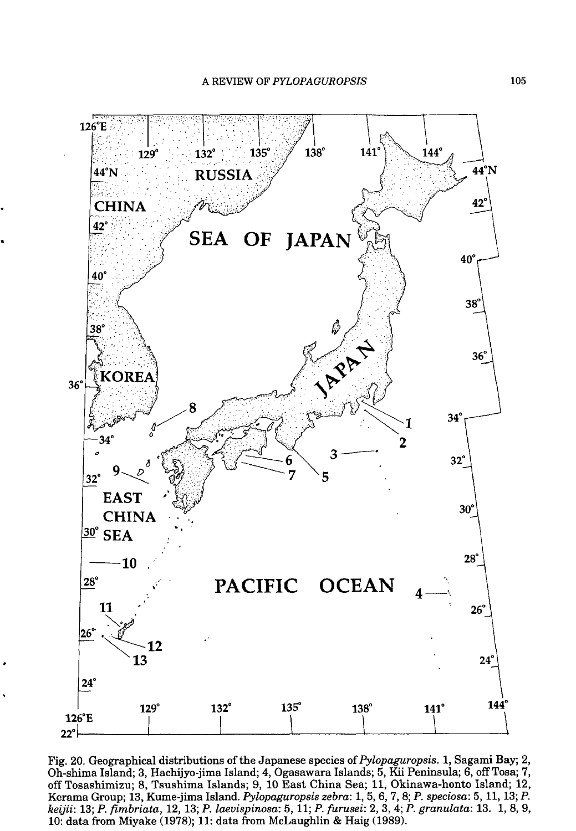

**Fig. 20. Geographical distributions of the Japanese species of** *Pylopaguropsis.* **1, Sagami Bay; 2, Oh-shima Island; 3, Hachijyo-jima Island; 4, Ogasawara Islands; 5, Kii Peninsula; 6, off Tosa; 7, off Tosashimizu; 8, Tsushima Islands; 9, 10 East China Sea; 11, Okinawa-honto Island; 12, Kerama Group; 13, Kume-jima Island.** *Pylopaguropsis zebra***: 1, 5, 6, 7, 8;** *P. speciosa:* **5,11,13;** *P. keijii:* **13;** *P. fimbriata,* **12, 13;** *P. laevispinosa-.* **5, 11;** *P. furusei: 2, 3,* **4;** *P. granulata***: 13. 1, 8, 9, 10: data from Miyake (1978); 11: data from McLaughlin & Haig (1989).**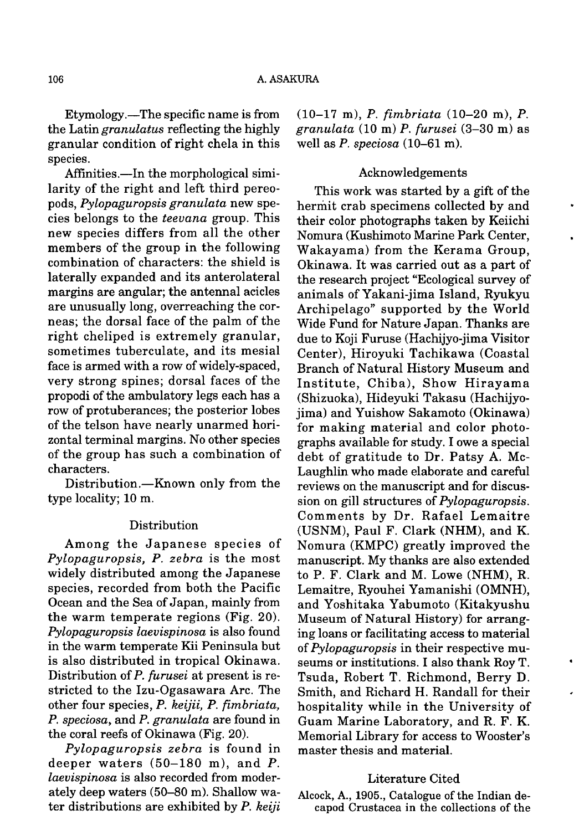Etymology.—The specific name is from the Latin *granulatus* reflecting the highly granular condition of right chela in this species.

Affinities.—In the morphological similarity of the right and left third pereopods, *Pylopaguropsis granulata* new species belongs to the *teevana* group. This new species differs from all the other members of the group in the following combination of characters: the shield is laterally expanded and its anterolateral margins are angular; the antennal acicles are unusually long, overreaching the corneas; the dorsal face of the palm of the right cheliped is extremely granular, sometimes tuberculate, and its mesial face is armed with a row of widely-spaced, very strong spines; dorsal faces of the propodi of the ambulatory legs each has a row of protuberances; the posterior lobes of the telson have nearly unarmed horizontal terminal margins. No other species of the group has such a combination of characters.

Distribution.—Known only from the type locality; 10 m.

## Distribution

Among the Japanese species of *Pylopaguropsis, P. zebra* is the most widely distributed among the Japanese species, recorded from both the Pacific Ocean and the Sea of Japan, mainly from the warm temperate regions (Fig. 20). *Pylopaguropsis laevispinosa* is also found in the warm temperate Kii Peninsula but is also distributed in tropical Okinawa. Distribution of *P. furusei* at present is restricted to the Izu-Ogasawara Arc. The other four species, *P. keijii, P. fimbriata, P. speciosa*, and *P. granulata* are found in the coral reefs of Okinawa (Fig. 20).

*Pylopaguropsis zebra* is found in deeper waters (50-180 m), and *P. laevispinosa* is also recorded from moderately deep waters (50-80 m). Shallow water distributions are exhibited by *P. keiji*  (10-17 m), *P. fimbriata* (10-20 m), *P. granulata* (10 m) *P. furusei* (3-30 m) as well as *P. speciosa* (10-61 m).

## Acknowledgements

This work was started by a gift of the hermit crab specimens collected by and their color photographs taken by Keiichi Nomura (Kushimoto Marine Park Center, Wakayama) from the Kerama Group, Okinawa. It was carried out as a part of the research project "Ecological survey of animals of Yakani-jima Island, Ryukyu Archipelago" supported by the World Wide Fund for Nature Japan. Thanks are due to Koji Furuse (Hachijyo-jima Visitor Center), Hiroyuki Tachikawa (Coastal Branch of Natural History Museum and Institute, Chiba), Show Hirayama (Shizuoka), Hideyuki Takasu (Hachijyojima) and Yuishow Sakamoto (Okinawa) for making material and color photographs available for study. I owe a special debt of gratitude to Dr. Patsy A. Mc-Laughlin who made elaborate and careful reviews on the manuscript and for discussion on gill structures of *Pylopaguropsis.*  Comments by Dr. Rafael Lemaitre (USNM), Paul F. Clark (NHM), and K. Nomura (KMPC) greatly improved the manuscript. My thanks are also extended to P. F. Clark and M. Lowe (NHM), R. Lemaitre, Ryouhei Yamanishi (OMNH), and Yoshitaka Yabumoto (Kitakyushu Museum of Natural History) for arranging loans or facilitating access to material of *Pylopaguropsis* in their respective museums or institutions. I also thank Roy T. Tsuda, Robert T. Richmond, Berry D. Smith, and Richard H. Randall for their hospitality while in the University of Guam Marine Laboratory, and R. F. K. Memorial Library for access to Wooster's master thesis and material.

## Literature Cited

**Alcock, A., 1905., Catalogue of the Indian decapod Crustacea in the collections of the**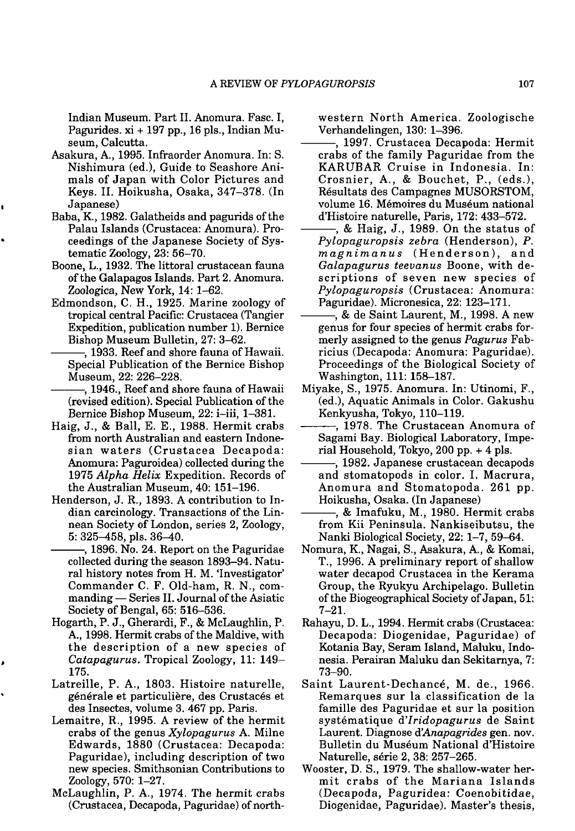**Indian Museum. Part II. Anomura. Fasc. I, Pagurides. xi + 197 pp., 16 pis., Indian Museum, Calcutta.** 

- **Asakura, A., 1995. Infraorder Anomura. In: S. Nishimura (ed.), Guide to Seashore Animals of Japan with Color Pictures and Keys. II. Hoikusha, Osaka, 347-378. (In Japanese)**
- **Baba, K, 1982. Galatheids and pagurids of the Palau Islands (Crustacea: Anomura). Proceedings of the Japanese Society of Systematic Zoology, 23: 56-70.**
- **Boone, L., 1932. The littoral crustacean fauna of the Galapagos Islands. Part 2. Anomura. Zoologica, New York, 14: 1-62.**
- **Edmondson, C. H., 1925. Marine zoology of tropical central Pacific: Crustacea (Tangier Expedition, publication number 1). Bernice Bishop Museum Bulletin, 27: 3-62.**
- **, 1933. Reef and shore fauna of Hawaii. Special Publication of the Bernice Bishop Museum, 22: 226-228.**
- **, 1946., Reef and shore fauna of Hawaii (revised edition). Special Publication of the Bernice Bishop Museum, 22: i-iii, 1-381.**
- **Haig, J., & Ball, E. E., 1988. Hermit crabs from north Australian and eastern Indonesian water s (Crustacea Decapoda: Anomura: Paguroidea) collected during the 1975** *Alpha Helix* **Expedition. Records of the Australian Museum, 40: 151-196.**
- **Henderson, J. R., 1893. A contribution to Indian carcinology. Transactions of the Linnean Society of London, series 2, Zoology, 5: 325-458, pis. 36^0.** 
	- **, 1896. No. 24. Report on the Paguridae collected during the season 1893-94. Natural history notes from H. M. 'Investigator' Commander C. F. Old-ham, R. N., commanding — Series II. Journal of the Asiatic Society of Bengal, 65: 516-536.**
- **Hogarth, P. J., Gherardi, F., & McLaughlin, P. A., 1998. Hermit crabs of the Maldive, with the description of a new species of**  *Catapagurus.* **Tropical Zoology, 11: 149- 175.**
- **Latreille, P. A., 1803. Histoire naturelle, generale et particuliere, des Crustaces et des Insectes, volume 3. 467 pp. Paris.**
- **Lemaitre, R., 1995. A review of the hermit crabs of the genus** *Xylopagurus* **A. Milne Edwards, 1880 (Crustacea: Decapoda: Paguridae), including description of two new species. Smithsonian Contributions to Zoology, 570: 1-27.**
- **McLaughlin, P. A., 1974. The hermit crabs (Crustacea, Decapoda, Paguridae) of north-**

**western North America. Zoologische Verhandelingen, 130: 1-396.** 

- **, 1997. Crustacea Decapoda: Hermit crabs of the family Paguridae from the KARUBAR Cruise in Indonesia. In: Crosnier, A., & Bouchet, P., (eds.), Resultats des Campagnes MUSORSTOM, volume 16. Memoires du Museum national d'Histoire naturelle, Paris, 172: 433-572.**
- **, & Haig, J., 1989. On the status of**  *Pylopaguropsis zebra* **(Henderson),** *P. magnimanus* **(Henderson), and**  *Galapagurus teevanus* **Boone, with descriptions of seven new species of**  *Pylopaguropsis* **(Crustacea: Anomura: Paguridae). Micronesica, 22: 123-171.**
- **, & de Saint Laurent, M., 1998. A new genus for four species of hermit crabs formerly assigned to the genus** *Pagurus* **Fabricius (Decapoda: Anomura: Paguridae). Proceedings of the Biological Society of Washington, 111: 158-187.**
- **Miyake, S., 1975. Anomura. In: Utinomi, F., (ed.), Aquatic Animals in Color. Gakushu Kenkyusha, Tokyo, 110-119.**
- **, 1978. The Crustacean Anomura of Sagami Bay. Biological Laboratory, Imperial Household, Tokyo, 200 pp. + 4 pis.**
- **, 1982. Japanese crustacean decapods and stomatopods in color. I. Macrura, Anomura and Stomatopoda. 261 pp. Hoikusha, Osaka. (In Japanese)**
- **, & Imafuku, M., 1980. Hermit crabs from Kii Peninsula. Nankiseibutsu, the Nanki Biological Society, 22: 1-7, 59-64.**
- **Nomura, K, Nagai, S., Asakura, A., & Komai, T., 1996. A preliminary report of shallow water decapod Crustacea in the Kerama Group, the Ryukyu Archipelago. Bulletin of the Biogeographical Society of Japan, 51: 7-21.**
- **Rahayu, D. L., 1994. Hermit crabs (Crustacea: Decapoda: Diogenidae, Paguridae) of Kotania Bay, Seram Island, Maluku, Indonesia. Perairan Maluku dan Sekitarnya, 7: 73-90.**
- **Saint Laurent-Dechance, M. de., 1966. Remarques sur la classification de la famille des Paguridae et sur la position systematique d***'Iridopagurus* **de Saint Laurent. Diagnose d***Anapagrides* **gen. nov. Bulletin du Museum National d'Histoire Naturelle, serie 2, 38: 257-265.**
- **Wooster, D. S., 1979. The shallow-water hermit crabs of the Mariana Islands (Decapoda, Paguridea: Coenobitidae, Diogenidae, Paguridae). Master's thesis,**